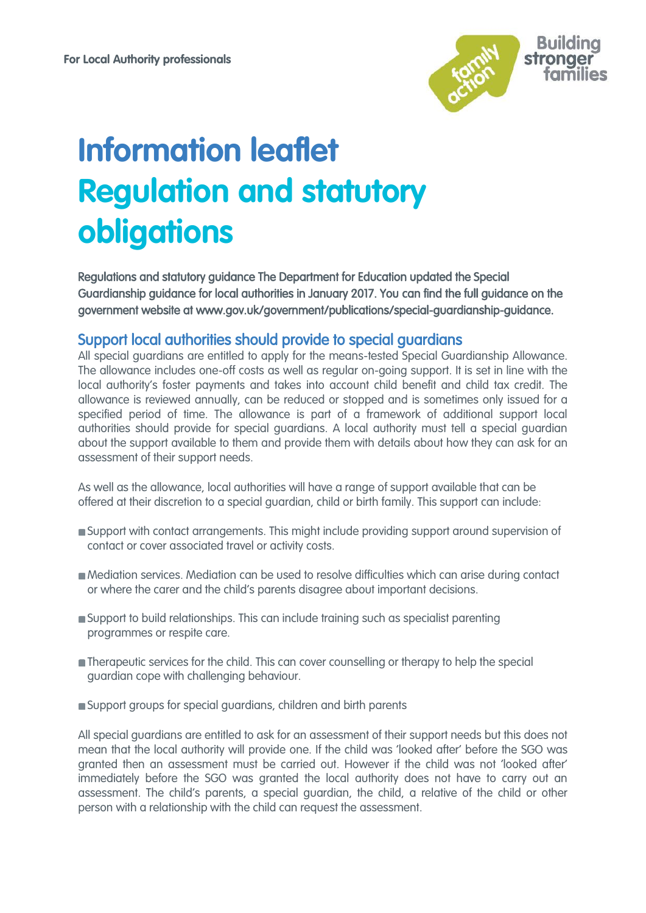

## **Information leaflet Regulation and statutory obligations**

Regulations and statutory guidance The Department for Education updated the Special Guardianship guidance for local authorities in January 2017. You can find the full guidance on the government website at www.gov.uk/government/publications/special-guardianship-guidance.

## Support local authorities should provide to special guardians

All special guardians are entitled to apply for the means-tested Special Guardianship Allowance. The allowance includes one-off costs as well as regular on-going support. It is set in line with the local authority's foster payments and takes into account child benefit and child tax credit. The allowance is reviewed annually, can be reduced or stopped and is sometimes only issued for a specified period of time. The allowance is part of a framework of additional support local authorities should provide for special guardians. A local authority must tell a special guardian about the support available to them and provide them with details about how they can ask for an assessment of their support needs.

As well as the allowance, local authorities will have a range of support available that can be offered at their discretion to a special guardian, child or birth family. This support can include:

- Support with [contact](https://www.specialguardiansupport.org.uk/managing-birth-family-contact/) arrangements. This might include providing support around supervision of contact or cover associated travel or activity costs.
- Mediation services. Mediation can be used to resolve difficulties which can arise during contact or where the carer and the child's parents disagree about important decisions.
- Support to build relationships. This can include training such as specialist parenting programmes or respite care.
- **Therapeutic services for the child. This can cover counselling or therapy to help the special** guardian cope with [challenging behaviour.](https://www.specialguardiansupport.org.uk/managing-challenging-behaviour/)
- Support groups for special guardians, children and birth parents

All special guardians are entitled to ask for an assessment of their support needs but this does not mean that the local authority will provide one. If the child was 'looked after' before the SGO was granted then an assessment must be carried out. However if the child was not 'looked after' immediately before the SGO was granted the local authority does not have to carry out an assessment. The child's parents, a special guardian, the child, a relative of the child or other person with a relationship with the child can request the assessment.